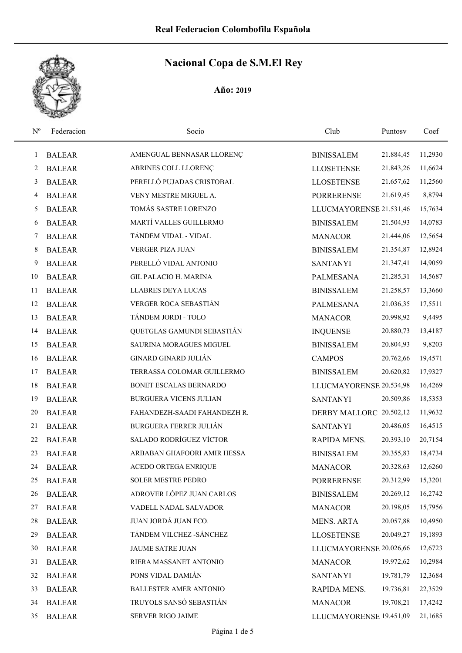| $N^{o}$ | Federacion    | Socio                         | Club                    | Puntosy   | Coef    |
|---------|---------------|-------------------------------|-------------------------|-----------|---------|
| 1       | <b>BALEAR</b> | AMENGUAL BENNASAR LLORENÇ     | <b>BINISSALEM</b>       | 21.884,45 | 11,2930 |
| 2       | <b>BALEAR</b> | ABRINES COLL LLORENÇ          | <b>LLOSETENSE</b>       | 21.843,26 | 11,6624 |
| 3       | <b>BALEAR</b> | PERELLÓ PUJADAS CRISTOBAL     | <b>LLOSETENSE</b>       | 21.657,62 | 11,2560 |
| 4       | <b>BALEAR</b> | VENY MESTRE MIGUEL A.         | <b>PORRERENSE</b>       | 21.619,45 | 8,8794  |
| 5       | <b>BALEAR</b> | TOMÁS SASTRE LORENZO          | LLUCMAYORENSE 21.531,46 |           | 15,7634 |
| 6       | <b>BALEAR</b> | MARTÍ VALLES GUILLERMO        | <b>BINISSALEM</b>       | 21.504,93 | 14,0783 |
| 7       | <b>BALEAR</b> | TÁNDEM VIDAL - VIDAL          | <b>MANACOR</b>          | 21.444,06 | 12,5654 |
| 8       | <b>BALEAR</b> | VERGER PIZA JUAN              | <b>BINISSALEM</b>       | 21.354,87 | 12,8924 |
| 9       | <b>BALEAR</b> | PERELLÓ VIDAL ANTONIO         | <b>SANTANYI</b>         | 21.347,41 | 14,9059 |
| 10      | <b>BALEAR</b> | <b>GIL PALACIO H. MARINA</b>  | PALMESANA               | 21.285,31 | 14,5687 |
| 11      | <b>BALEAR</b> | LLABRES DEYA LUCAS            | <b>BINISSALEM</b>       | 21.258,57 | 13,3660 |
| 12      | <b>BALEAR</b> | VERGER ROCA SEBASTIÁN         | <b>PALMESANA</b>        | 21.036,35 | 17,5511 |
| 13      | <b>BALEAR</b> | TÁNDEM JORDI - TOLO           | <b>MANACOR</b>          | 20.998,92 | 9,4495  |
| 14      | <b>BALEAR</b> | QUETGLAS GAMUNDI SEBASTIÁN    | <b>INQUENSE</b>         | 20.880,73 | 13,4187 |
| 15      | <b>BALEAR</b> | SAURINA MORAGUES MIGUEL       | <b>BINISSALEM</b>       | 20.804,93 | 9,8203  |
| 16      | <b>BALEAR</b> | <b>GINARD GINARD JULIÁN</b>   | <b>CAMPOS</b>           | 20.762,66 | 19,4571 |
| 17      | <b>BALEAR</b> | TERRASSA COLOMAR GUILLERMO    | <b>BINISSALEM</b>       | 20.620,82 | 17,9327 |
| 18      | <b>BALEAR</b> | BONET ESCALAS BERNARDO        | LLUCMAYORENSE 20.534,98 |           | 16,4269 |
| 19      | <b>BALEAR</b> | <b>BURGUERA VICENS JULIÁN</b> | <b>SANTANYI</b>         | 20.509,86 | 18,5353 |
| 20      | <b>BALEAR</b> | FAHANDEZH-SAADI FAHANDEZH R.  | DERBY MALLORC 20.502,12 |           | 11,9632 |
| 21      | <b>BALEAR</b> | <b>BURGUERA FERRER JULIÁN</b> | <b>SANTANYI</b>         | 20.486,05 | 16,4515 |
| 22      | <b>BALEAR</b> | SALADO RODRÍGUEZ VÍCTOR       | RAPIDA MENS.            | 20.393,10 | 20,7154 |
| 23      | <b>BALEAR</b> | ARBABAN GHAFOORI AMIR HESSA   | <b>BINISSALEM</b>       | 20.355,83 | 18,4734 |
| 24      | <b>BALEAR</b> | ACEDO ORTEGA ENRIQUE          | <b>MANACOR</b>          | 20.328,63 | 12,6260 |
| 25      | <b>BALEAR</b> | SOLER MESTRE PEDRO            | <b>PORRERENSE</b>       | 20.312,99 | 15,3201 |
| 26      | <b>BALEAR</b> | ADROVER LÓPEZ JUAN CARLOS     | <b>BINISSALEM</b>       | 20.269,12 | 16,2742 |
| 27      | <b>BALEAR</b> | VADELL NADAL SALVADOR         | <b>MANACOR</b>          | 20.198,05 | 15,7956 |
| 28      | <b>BALEAR</b> | JUAN JORDÁ JUAN FCO.          | <b>MENS. ARTA</b>       | 20.057,88 | 10,4950 |
| 29      | <b>BALEAR</b> | TÁNDEM VILCHEZ - SÁNCHEZ      | <b>LLOSETENSE</b>       | 20.049,27 | 19,1893 |
| 30      | <b>BALEAR</b> | JAUME SATRE JUAN              | LLUCMAYORENSE 20.026,66 |           | 12,6723 |
| 31      | <b>BALEAR</b> | RIERA MASSANET ANTONIO        | <b>MANACOR</b>          | 19.972,62 | 10,2984 |
| 32      | <b>BALEAR</b> | PONS VIDAL DAMIÁN             | <b>SANTANYI</b>         | 19.781,79 | 12,3684 |
| 33      | <b>BALEAR</b> | <b>BALLESTER AMER ANTONIO</b> | RAPIDA MENS.            | 19.736,81 | 22,3529 |
| 34      | <b>BALEAR</b> | TRUYOLS SANSÓ SEBASTIÁN       | <b>MANACOR</b>          | 19.708,21 | 17,4242 |
| 35      | <b>BALEAR</b> | SERVER RIGO JAIME             | LLUCMAYORENSE 19.451,09 |           | 21,1685 |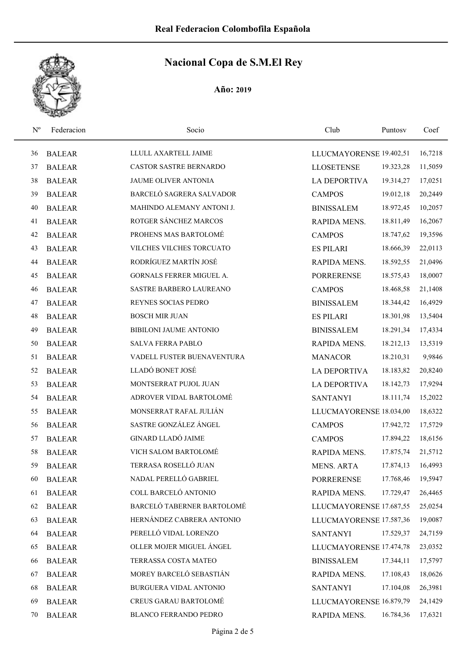| $N^{\rm o}$ | Federacion    | Socio                         | Club                    | Puntosy   | Coef    |
|-------------|---------------|-------------------------------|-------------------------|-----------|---------|
| 36          | <b>BALEAR</b> | LLULL AXARTELL JAIME          | LLUCMAYORENSE 19.402,51 |           | 16,7218 |
| 37          | <b>BALEAR</b> | <b>CASTOR SASTRE BERNARDO</b> | <b>LLOSETENSE</b>       | 19.323,28 | 11,5059 |
| 38          | <b>BALEAR</b> | JAUME OLIVER ANTONIA          | <b>LA DEPORTIVA</b>     | 19.314,27 | 17,0251 |
| 39          | <b>BALEAR</b> | BARCELÓ SAGRERA SALVADOR      | <b>CAMPOS</b>           | 19.012,18 | 20,2449 |
| 40          | <b>BALEAR</b> | MAHINDO ALEMANY ANTONI J.     | <b>BINISSALEM</b>       | 18.972,45 | 10,2057 |
| 41          | <b>BALEAR</b> | ROTGER SÁNCHEZ MARCOS         | RAPIDA MENS.            | 18.811,49 | 16,2067 |
| 42          | <b>BALEAR</b> | PROHENS MAS BARTOLOMÉ         | <b>CAMPOS</b>           | 18.747,62 | 19,3596 |
| 43          | <b>BALEAR</b> | VILCHES VILCHES TORCUATO      | <b>ES PILARI</b>        | 18.666,39 | 22,0113 |
| 44          | <b>BALEAR</b> | RODRÍGUEZ MARTÍN JOSÉ         | RAPIDA MENS.            | 18.592,55 | 21,0496 |
| 45          | <b>BALEAR</b> | GORNALS FERRER MIGUEL A.      | <b>PORRERENSE</b>       | 18.575,43 | 18,0007 |
| 46          | <b>BALEAR</b> | SASTRE BARBERO LAUREANO       | <b>CAMPOS</b>           | 18.468,58 | 21,1408 |
| 47          | <b>BALEAR</b> | REYNES SOCIAS PEDRO           | <b>BINISSALEM</b>       | 18.344,42 | 16,4929 |
| 48          | <b>BALEAR</b> | <b>BOSCH MIR JUAN</b>         | <b>ES PILARI</b>        | 18.301,98 | 13,5404 |
| 49          | <b>BALEAR</b> | <b>BIBILONI JAUME ANTONIO</b> | <b>BINISSALEM</b>       | 18.291,34 | 17,4334 |
| 50          | <b>BALEAR</b> | <b>SALVA FERRA PABLO</b>      | RAPIDA MENS.            | 18.212,13 | 13,5319 |
| 51          | <b>BALEAR</b> | VADELL FUSTER BUENAVENTURA    | <b>MANACOR</b>          | 18.210,31 | 9,9846  |
| 52          | <b>BALEAR</b> | LLADÓ BONET JOSÉ              | <b>LA DEPORTIVA</b>     | 18.183,82 | 20,8240 |
| 53          | <b>BALEAR</b> | MONTSERRAT PUJOL JUAN         | <b>LA DEPORTIVA</b>     | 18.142,73 | 17,9294 |
| 54          | <b>BALEAR</b> | ADROVER VIDAL BARTOLOMÉ       | <b>SANTANYI</b>         | 18.111,74 | 15,2022 |
| 55          | <b>BALEAR</b> | MONSERRAT RAFAL JULIÁN        | LLUCMAYORENSE 18.034,00 |           | 18,6322 |
| 56          | <b>BALEAR</b> | SASTRE GONZÁLEZ ÁNGEL         | <b>CAMPOS</b>           | 17.942,72 | 17,5729 |
| 57          | <b>BALEAR</b> | <b>GINARD LLADÓ JAIME</b>     | <b>CAMPOS</b>           | 17.894,22 | 18,6156 |
| 58          | <b>BALEAR</b> | VICH SALOM BARTOLOMÉ          | RAPIDA MENS.            | 17.875,74 | 21,5712 |
| 59          | <b>BALEAR</b> | TERRASA ROSELLÓ JUAN          | <b>MENS. ARTA</b>       | 17.874,13 | 16,4993 |
| 60          | <b>BALEAR</b> | NADAL PERELLÓ GABRIEL         | <b>PORRERENSE</b>       | 17.768,46 | 19,5947 |
| 61          | <b>BALEAR</b> | COLL BARCELÓ ANTONIO          | RAPIDA MENS.            | 17.729,47 | 26,4465 |
| 62          | <b>BALEAR</b> | BARCELÓ TABERNER BARTOLOMÉ    | LLUCMAYORENSE 17.687,55 |           | 25,0254 |
| 63          | <b>BALEAR</b> | HERNÁNDEZ CABRERA ANTONIO     | LLUCMAYORENSE 17.587,36 |           | 19,0087 |
| 64          | <b>BALEAR</b> | PERELLÓ VIDAL LORENZO         | <b>SANTANYI</b>         | 17.529,37 | 24,7159 |
| 65          | <b>BALEAR</b> | OLLER MOJER MIGUEL ÁNGEL      | LLUCMAYORENSE 17.474,78 |           | 23,0352 |
| 66          | <b>BALEAR</b> | TERRASSA COSTA MATEO          | <b>BINISSALEM</b>       | 17.344,11 | 17,5797 |
| 67          | <b>BALEAR</b> | MOREY BARCELÓ SEBASTIÁN       | RAPIDA MENS.            | 17.108,43 | 18,0626 |
| 68          | <b>BALEAR</b> | BURGUERA VIDAL ANTONIO        | <b>SANTANYI</b>         | 17.104,08 | 26,3981 |
| 69          | <b>BALEAR</b> | CREUS GARAU BARTOLOMÉ         | LLUCMAYORENSE 16.879,79 |           | 24,1429 |
| 70          | <b>BALEAR</b> | BLANCO FERRANDO PEDRO         | RAPIDA MENS.            | 16.784,36 | 17,6321 |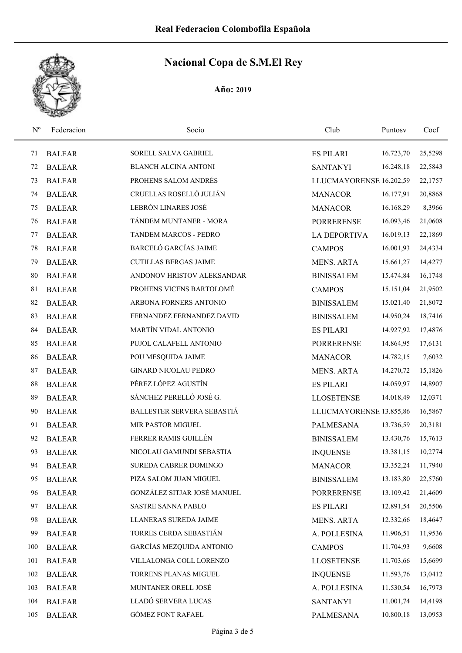| $N^{o}$ | Federacion    | Socio                        | Club                    | Puntosy   | Coef    |
|---------|---------------|------------------------------|-------------------------|-----------|---------|
| 71      | <b>BALEAR</b> | SORELL SALVA GABRIEL         | <b>ES PILARI</b>        | 16.723,70 | 25,5298 |
| 72      | <b>BALEAR</b> | <b>BLANCH ALCINA ANTONI</b>  | <b>SANTANYI</b>         | 16.248,18 | 22,5843 |
| 73      | <b>BALEAR</b> | PROHENS SALOM ANDRÉS         | LLUCMAYORENSE 16.202,59 |           | 22,1757 |
| 74      | <b>BALEAR</b> | CRUELLAS ROSELLÓ JULIÁN      | <b>MANACOR</b>          | 16.177,91 | 20,8868 |
| 75      | <b>BALEAR</b> | LEBRÓN LINARES JOSÉ          | <b>MANACOR</b>          | 16.168,29 | 8,3966  |
| 76      | <b>BALEAR</b> | TÁNDEM MUNTANER - MORA       | <b>PORRERENSE</b>       | 16.093,46 | 21,0608 |
| 77      | <b>BALEAR</b> | TÁNDEM MARCOS - PEDRO        | <b>LA DEPORTIVA</b>     | 16.019,13 | 22,1869 |
| 78      | <b>BALEAR</b> | BARCELÓ GARCÍAS JAIME        | <b>CAMPOS</b>           | 16.001,93 | 24,4334 |
| 79      | <b>BALEAR</b> | <b>CUTILLAS BERGAS JAIME</b> | <b>MENS. ARTA</b>       | 15.661,27 | 14,4277 |
| 80      | <b>BALEAR</b> | ANDONOV HRISTOV ALEKSANDAR   | <b>BINISSALEM</b>       | 15.474,84 | 16,1748 |
| 81      | <b>BALEAR</b> | PROHENS VICENS BARTOLOMÉ     | <b>CAMPOS</b>           | 15.151,04 | 21,9502 |
| 82      | <b>BALEAR</b> | ARBONA FORNERS ANTONIO       | <b>BINISSALEM</b>       | 15.021,40 | 21,8072 |
| 83      | <b>BALEAR</b> | FERNANDEZ FERNANDEZ DAVID    | <b>BINISSALEM</b>       | 14.950,24 | 18,7416 |
| 84      | <b>BALEAR</b> | MARTÍN VIDAL ANTONIO         | <b>ES PILARI</b>        | 14.927,92 | 17,4876 |
| 85      | <b>BALEAR</b> | PUJOL CALAFELL ANTONIO       | <b>PORRERENSE</b>       | 14.864,95 | 17,6131 |
| 86      | <b>BALEAR</b> | POU MESQUIDA JAIME           | <b>MANACOR</b>          | 14.782,15 | 7,6032  |
| 87      | <b>BALEAR</b> | <b>GINARD NICOLAU PEDRO</b>  | <b>MENS. ARTA</b>       | 14.270,72 | 15,1826 |
| 88      | <b>BALEAR</b> | PÉREZ LÓPEZ AGUSTÍN          | <b>ES PILARI</b>        | 14.059,97 | 14,8907 |
| 89      | <b>BALEAR</b> | SÁNCHEZ PERELLÓ JOSÉ G.      | <b>LLOSETENSE</b>       | 14.018,49 | 12,0371 |
| 90      | <b>BALEAR</b> | BALLESTER SERVERA SEBASTIÁ   | LLUCMAYORENSE 13.855,86 |           | 16,5867 |
| 91      | <b>BALEAR</b> | <b>MIR PASTOR MIGUEL</b>     | <b>PALMESANA</b>        | 13.736,59 | 20,3181 |
| 92      | <b>BALEAR</b> | FERRER RAMIS GUILLÉN         | <b>BINISSALEM</b>       | 13.430,76 | 15,7613 |
| 93      | <b>BALEAR</b> | NICOLAU GAMUNDI SEBASTIA     | <b>INQUENSE</b>         | 13.381,15 | 10,2774 |
| 94      | <b>BALEAR</b> | <b>SUREDA CABRER DOMINGO</b> | <b>MANACOR</b>          | 13.352,24 | 11,7940 |
| 95      | <b>BALEAR</b> | PIZA SALOM JUAN MIGUEL       | <b>BINISSALEM</b>       | 13.183,80 | 22,5760 |
| 96      | <b>BALEAR</b> | GONZÁLEZ SITJAR JOSÉ MANUEL  | <b>PORRERENSE</b>       | 13.109,42 | 21,4609 |
| 97      | <b>BALEAR</b> | SASTRE SANNA PABLO           | <b>ES PILARI</b>        | 12.891,54 | 20,5506 |
| 98      | <b>BALEAR</b> | LLANERAS SUREDA JAIME        | MENS. ARTA              | 12.332,66 | 18,4647 |
| 99      | <b>BALEAR</b> | TORRES CERDA SEBASTIÁN       | A. POLLESINA            | 11.906,51 | 11,9536 |
| 100     | <b>BALEAR</b> | GARCÍAS MEZQUIDA ANTONIO     | <b>CAMPOS</b>           | 11.704,93 | 9,6608  |
| 101     | <b>BALEAR</b> | VILLALONGA COLL LORENZO      | <b>LLOSETENSE</b>       | 11.703,66 | 15,6699 |
| 102     | <b>BALEAR</b> | TORRENS PLANAS MIGUEL        | <b>INQUENSE</b>         | 11.593,76 | 13,0412 |
| 103     | <b>BALEAR</b> | MUNTANER ORELL JOSÉ          | A. POLLESINA            | 11.530,54 | 16,7973 |
| 104     | <b>BALEAR</b> | LLADÓ SERVERA LUCAS          | <b>SANTANYI</b>         | 11.001,74 | 14,4198 |
| 105     | <b>BALEAR</b> | <b>GÓMEZ FONT RAFAEL</b>     | PALMESANA               | 10.800,18 | 13,0953 |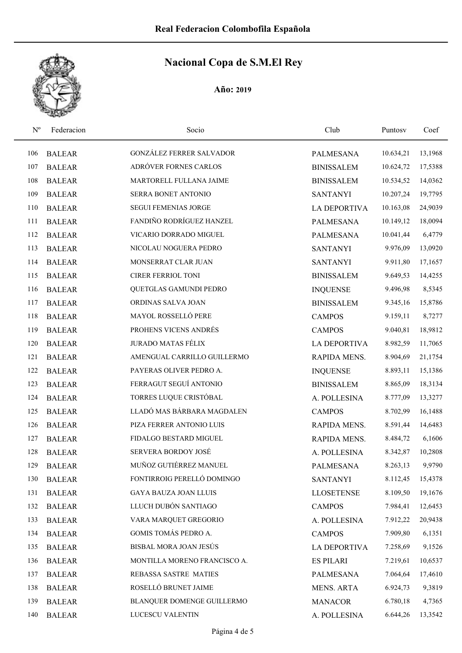| $N^{\rm o}$ | Federacion    | Socio                        | Club                | Puntosy   | Coef    |
|-------------|---------------|------------------------------|---------------------|-----------|---------|
| 106         | <b>BALEAR</b> | GONZÁLEZ FERRER SALVADOR     | <b>PALMESANA</b>    | 10.634,21 | 13,1968 |
| 107         | <b>BALEAR</b> | ADRÓVER FORNES CARLOS        | <b>BINISSALEM</b>   | 10.624,72 | 17,5388 |
| 108         | <b>BALEAR</b> | MARTORELL FULLANA JAIME      | <b>BINISSALEM</b>   | 10.534,52 | 14,0362 |
| 109         | <b>BALEAR</b> | SERRA BONET ANTONIO          | <b>SANTANYI</b>     | 10.207,24 | 19,7795 |
| 110         | <b>BALEAR</b> | <b>SEGUI FEMENIAS JORGE</b>  | <b>LA DEPORTIVA</b> | 10.163,08 | 24,9039 |
| 111         | <b>BALEAR</b> | FANDIÑO RODRÍGUEZ HANZEL     | <b>PALMESANA</b>    | 10.149,12 | 18,0094 |
| 112         | <b>BALEAR</b> | VICARIO DORRADO MIGUEL       | <b>PALMESANA</b>    | 10.041,44 | 6,4779  |
| 113         | <b>BALEAR</b> | NICOLAU NOGUERA PEDRO        | <b>SANTANYI</b>     | 9.976,09  | 13,0920 |
| 114         | <b>BALEAR</b> | MONSERRAT CLAR JUAN          | <b>SANTANYI</b>     | 9.911,80  | 17,1657 |
| 115         | <b>BALEAR</b> | <b>CIRER FERRIOL TONI</b>    | <b>BINISSALEM</b>   | 9.649,53  | 14,4255 |
| 116         | <b>BALEAR</b> | QUETGLAS GAMUNDI PEDRO       | <b>INQUENSE</b>     | 9.496,98  | 8,5345  |
| 117         | <b>BALEAR</b> | ORDINAS SALVA JOAN           | <b>BINISSALEM</b>   | 9.345,16  | 15,8786 |
| 118         | <b>BALEAR</b> | MAYOL ROSSELLÓ PERE          | <b>CAMPOS</b>       | 9.159,11  | 8,7277  |
| 119         | <b>BALEAR</b> | PROHENS VICENS ANDRÉS        | <b>CAMPOS</b>       | 9.040,81  | 18,9812 |
| 120         | <b>BALEAR</b> | <b>JURADO MATAS FÉLIX</b>    | <b>LA DEPORTIVA</b> | 8.982,59  | 11,7065 |
| 121         | <b>BALEAR</b> | AMENGUAL CARRILLO GUILLERMO  | RAPIDA MENS.        | 8.904,69  | 21,1754 |
| 122         | <b>BALEAR</b> | PAYERAS OLIVER PEDRO A.      | <b>INQUENSE</b>     | 8.893,11  | 15,1386 |
| 123         | <b>BALEAR</b> | FERRAGUT SEGUÍ ANTONIO       | <b>BINISSALEM</b>   | 8.865,09  | 18,3134 |
| 124         | <b>BALEAR</b> | TORRES LUQUE CRISTÓBAL       | A. POLLESINA        | 8.777,09  | 13,3277 |
| 125         | <b>BALEAR</b> | LLADÓ MAS BÁRBARA MAGDALEN   | <b>CAMPOS</b>       | 8.702,99  | 16,1488 |
| 126         | <b>BALEAR</b> | PIZA FERRER ANTONIO LUIS     | RAPIDA MENS.        | 8.591,44  | 14,6483 |
| 127         | <b>BALEAR</b> | FIDALGO BESTARD MIGUEL       | RAPIDA MENS.        | 8.484,72  | 6,1606  |
| 128         | <b>BALEAR</b> | SERVERA BORDOY JOSÉ          | A. POLLESINA        | 8.342,87  | 10,2808 |
| 129         | <b>BALEAR</b> | MUÑOZ GUTIÉRREZ MANUEL       | <b>PALMESANA</b>    | 8.263,13  | 9,9790  |
| 130         | <b>BALEAR</b> | FONTIRROIG PERELLÓ DOMINGO   | <b>SANTANYI</b>     | 8.112,45  | 15,4378 |
| 131         | <b>BALEAR</b> | GAYA BAUZA JOAN LLUIS        | <b>LLOSETENSE</b>   | 8.109,50  | 19,1676 |
| 132         | <b>BALEAR</b> | LLUCH DUBÓN SANTIAGO         | <b>CAMPOS</b>       | 7.984,41  | 12,6453 |
| 133         | <b>BALEAR</b> | VARA MARQUET GREGORIO        | A. POLLESINA        | 7.912,22  | 20,9438 |
| 134         | <b>BALEAR</b> | GOMIS TOMÁS PEDRO A.         | <b>CAMPOS</b>       | 7.909,80  | 6,1351  |
| 135         | <b>BALEAR</b> | BISBAL MORA JOAN JESÚS       | <b>LA DEPORTIVA</b> | 7.258,69  | 9,1526  |
| 136         | <b>BALEAR</b> | MONTILLA MORENO FRANCISCO A. | <b>ES PILARI</b>    | 7.219,61  | 10,6537 |
| 137         | <b>BALEAR</b> | REBASSA SASTRE MATIES        | <b>PALMESANA</b>    | 7.064,64  | 17,4610 |
| 138         | <b>BALEAR</b> | ROSELLÓ BRUNET JAIME         | MENS. ARTA          | 6.924,73  | 9,3819  |
| 139         | <b>BALEAR</b> | BLANQUER DOMENGE GUILLERMO   | <b>MANACOR</b>      | 6.780,18  | 4,7365  |
| 140         | <b>BALEAR</b> | LUCESCU VALENTIN             | A. POLLESINA        | 6.644,26  | 13,3542 |